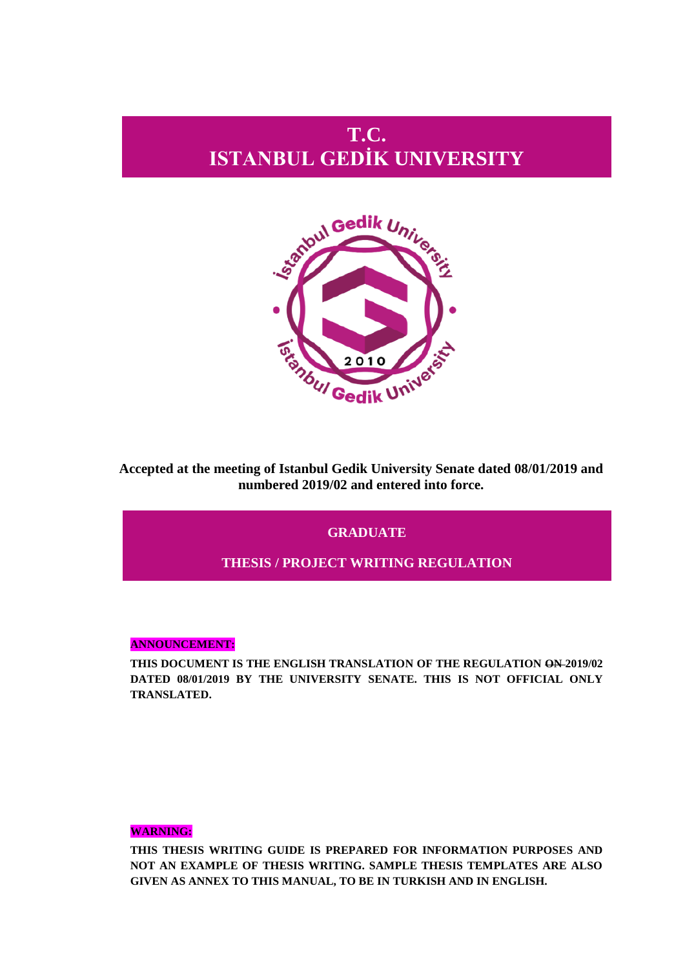# **T.C. ISTANBUL GEDİK UNIVERSITY**



**Accepted at the meeting of Istanbul Gedik University Senate dated 08/01/2019 and numbered 2019/02 and entered into force.**

## **GRADUATE**

## **THESIS / PROJECT WRITING REGULATION**

#### **ANNOUNCEMENT:**

**THIS DOCUMENT IS THE ENGLISH TRANSLATION OF THE REGULATION ON 2019/02 DATED 08/01/2019 BY THE UNIVERSITY SENATE. THIS IS NOT OFFICIAL ONLY TRANSLATED.**

### **WARNING:**

**THIS THESIS WRITING GUIDE IS PREPARED FOR INFORMATION PURPOSES AND NOT AN EXAMPLE OF THESIS WRITING. SAMPLE THESIS TEMPLATES ARE ALSO GIVEN AS ANNEX TO THIS MANUAL, TO BE IN TURKISH AND IN ENGLISH.**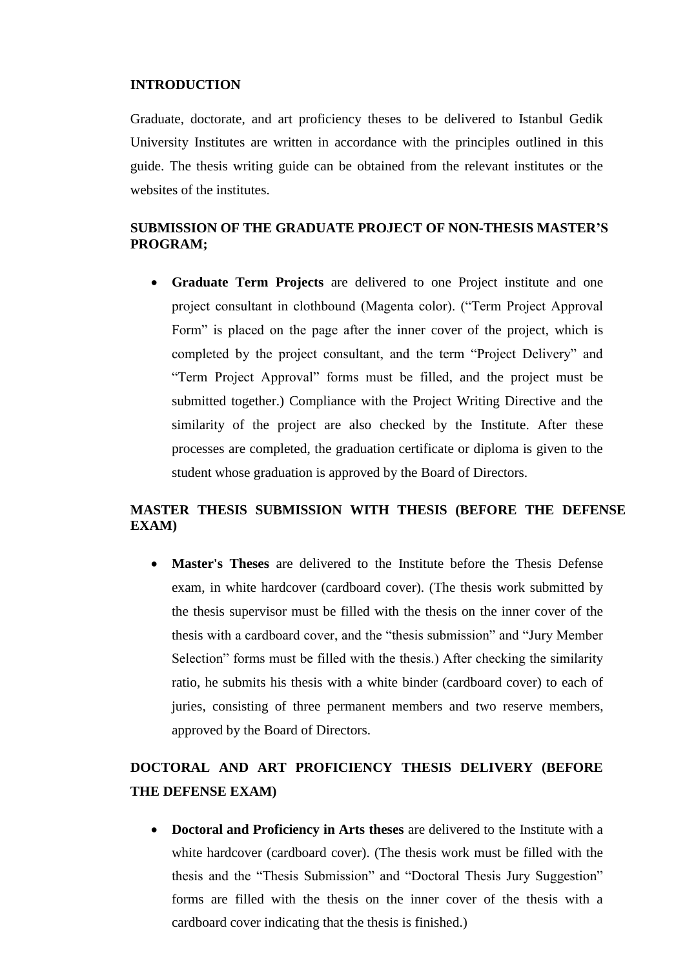### **INTRODUCTION**

Graduate, doctorate, and art proficiency theses to be delivered to Istanbul Gedik University Institutes are written in accordance with the principles outlined in this guide. The thesis writing guide can be obtained from the relevant institutes or the websites of the institutes.

## **SUBMISSION OF THE GRADUATE PROJECT OF NON-THESIS MASTER'S PROGRAM;**

 **Graduate Term Projects** are delivered to one Project institute and one project consultant in clothbound (Magenta color). ("Term Project Approval Form" is placed on the page after the inner cover of the project, which is completed by the project consultant, and the term "Project Delivery" and "Term Project Approval" forms must be filled, and the project must be submitted together.) Compliance with the Project Writing Directive and the similarity of the project are also checked by the Institute. After these processes are completed, the graduation certificate or diploma is given to the student whose graduation is approved by the Board of Directors.

## **MASTER THESIS SUBMISSION WITH THESIS (BEFORE THE DEFENSE EXAM)**

 **Master's Theses** are delivered to the Institute before the Thesis Defense exam, in white hardcover (cardboard cover). (The thesis work submitted by the thesis supervisor must be filled with the thesis on the inner cover of the thesis with a cardboard cover, and the "thesis submission" and "Jury Member Selection" forms must be filled with the thesis.) After checking the similarity ratio, he submits his thesis with a white binder (cardboard cover) to each of juries, consisting of three permanent members and two reserve members, approved by the Board of Directors.

## **DOCTORAL AND ART PROFICIENCY THESIS DELIVERY (BEFORE THE DEFENSE EXAM)**

 **Doctoral and Proficiency in Arts theses** are delivered to the Institute with a white hardcover (cardboard cover). (The thesis work must be filled with the thesis and the "Thesis Submission" and "Doctoral Thesis Jury Suggestion" forms are filled with the thesis on the inner cover of the thesis with a cardboard cover indicating that the thesis is finished.)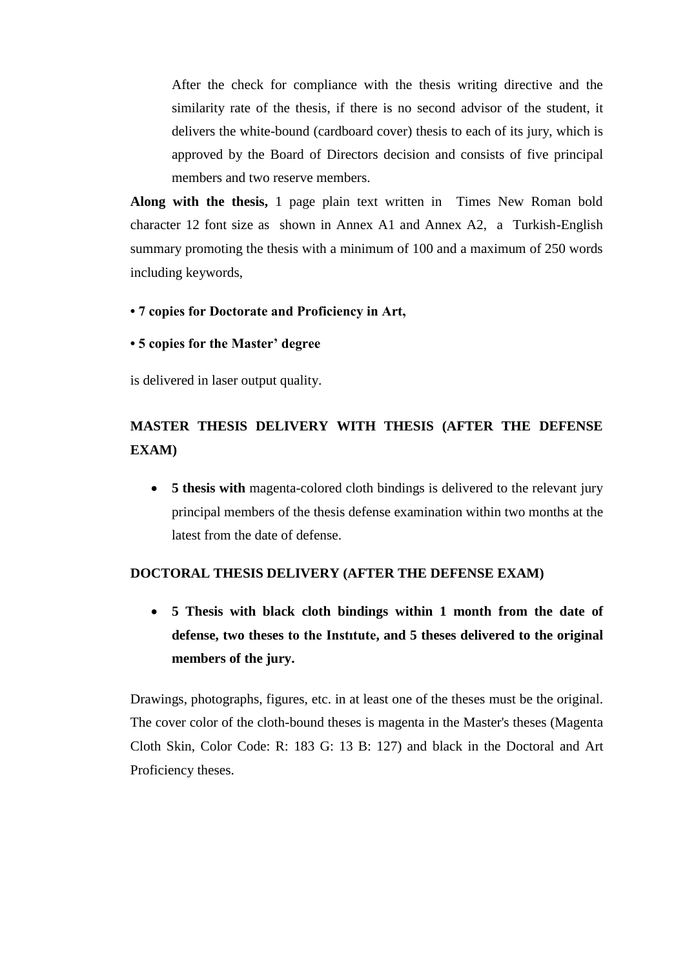After the check for compliance with the thesis writing directive and the similarity rate of the thesis, if there is no second advisor of the student, it delivers the white-bound (cardboard cover) thesis to each of its jury, which is approved by the Board of Directors decision and consists of five principal members and two reserve members.

**Along with the thesis,** 1 page plain text written in Times New Roman bold character 12 font size as shown in Annex A1 and Annex A2, a Turkish-English summary promoting the thesis with a minimum of 100 and a maximum of 250 words including keywords,

- **7 copies for Doctorate and Proficiency in Art,**
- **5 copies for the Master' degree**

is delivered in laser output quality.

## **MASTER THESIS DELIVERY WITH THESIS (AFTER THE DEFENSE EXAM)**

 **5 thesis with** magenta-colored cloth bindings is delivered to the relevant jury principal members of the thesis defense examination within two months at the latest from the date of defense.

## **DOCTORAL THESIS DELIVERY (AFTER THE DEFENSE EXAM)**

 **5 Thesis with black cloth bindings within 1 month from the date of defense, two theses to the Instıtute, and 5 theses delivered to the original members of the jury.**

Drawings, photographs, figures, etc. in at least one of the theses must be the original. The cover color of the cloth-bound theses is magenta in the Master's theses (Magenta Cloth Skin, Color Code: R: 183 G: 13 B: 127) and black in the Doctoral and Art Proficiency theses.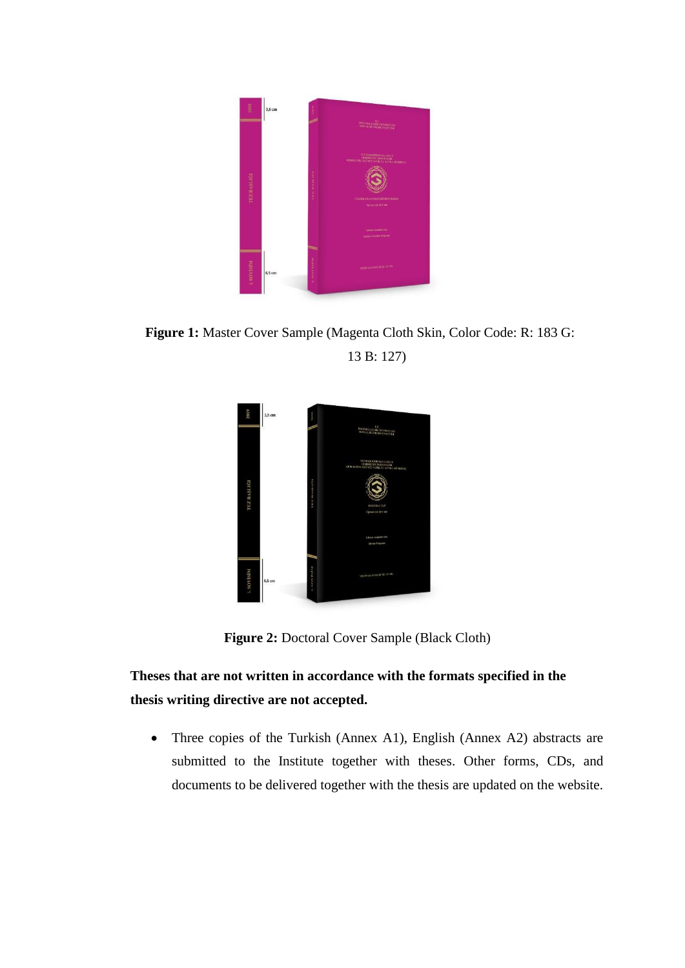

**Figure 1:** Master Cover Sample (Magenta Cloth Skin, Color Code: R: 183 G: 13 B: 127)



**Figure 2:** Doctoral Cover Sample (Black Cloth)

## **Theses that are not written in accordance with the formats specified in the thesis writing directive are not accepted.**

• Three copies of the Turkish (Annex A1), English (Annex A2) abstracts are submitted to the Institute together with theses. Other forms, CDs, and documents to be delivered together with the thesis are updated on the website.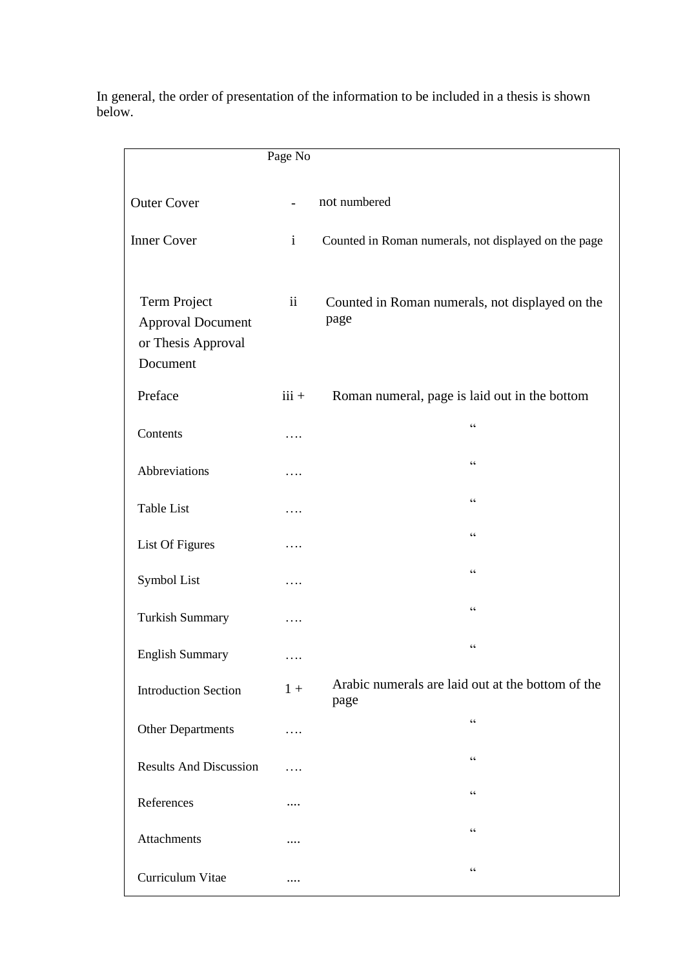In general, the order of presentation of the information to be included in a thesis is shown below.

|                                                                            | Page No                  |                                                         |
|----------------------------------------------------------------------------|--------------------------|---------------------------------------------------------|
| <b>Outer Cover</b>                                                         | $\overline{\phantom{a}}$ | not numbered                                            |
| <b>Inner Cover</b>                                                         | $\mathbf{i}$             | Counted in Roman numerals, not displayed on the page    |
| Term Project<br><b>Approval Document</b><br>or Thesis Approval<br>Document | $\mathbf{ii}$            | Counted in Roman numerals, not displayed on the<br>page |
| Preface                                                                    | $iii +$                  | Roman numeral, page is laid out in the bottom           |
| Contents                                                                   | .                        | $\!\!\!\zeta\,\zeta\!\!\!\zeta\!\!\!\zeta$              |
| Abbreviations                                                              | .                        | $\zeta$ $\zeta$                                         |
| <b>Table List</b>                                                          | .                        | $\zeta$ $\zeta$                                         |
| List Of Figures                                                            | .                        | $\zeta$ $\zeta$                                         |
| Symbol List                                                                | .                        | $\zeta$ $\zeta$                                         |
| <b>Turkish Summary</b>                                                     | .                        | $\zeta$ $\zeta$                                         |
| <b>English Summary</b>                                                     | .                        | $\zeta \, \zeta$                                        |
| <b>Introduction Section</b>                                                | $1 +$                    | Arabic numerals are laid out at the bottom of the       |
| <b>Other Departments</b>                                                   | .                        | page<br>$\zeta$ $\zeta$                                 |
| <b>Results And Discussion</b>                                              | .                        | $\zeta$ $\zeta$                                         |
| References                                                                 | .                        | $\zeta$ $\zeta$                                         |
| Attachments                                                                |                          | $\zeta$ $\zeta$                                         |
| Curriculum Vitae                                                           |                          | $\zeta\,\zeta$                                          |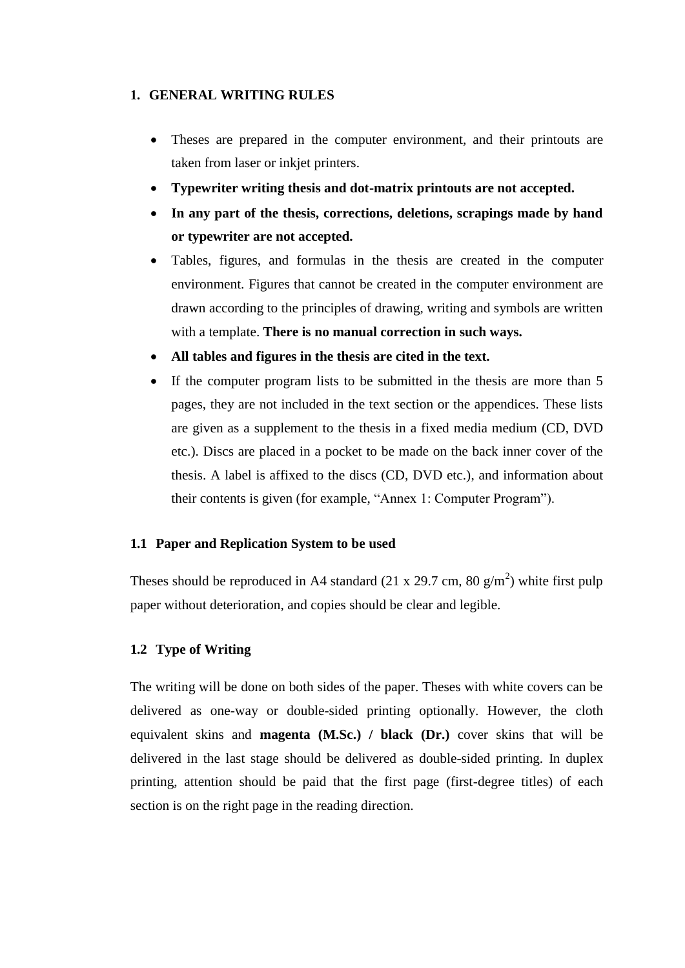### **1. GENERAL WRITING RULES**

- Theses are prepared in the computer environment, and their printouts are taken from laser or inkjet printers.
- **Typewriter writing thesis and dot-matrix printouts are not accepted.**
- **In any part of the thesis, corrections, deletions, scrapings made by hand or typewriter are not accepted.**
- Tables, figures, and formulas in the thesis are created in the computer environment. Figures that cannot be created in the computer environment are drawn according to the principles of drawing, writing and symbols are written with a template. **There is no manual correction in such ways.**
- **All tables and figures in the thesis are cited in the text.**
- If the computer program lists to be submitted in the thesis are more than 5 pages, they are not included in the text section or the appendices. These lists are given as a supplement to the thesis in a fixed media medium (CD, DVD etc.). Discs are placed in a pocket to be made on the back inner cover of the thesis. A label is affixed to the discs (CD, DVD etc.), and information about their contents is given (for example, "Annex 1: Computer Program").

## **1.1 Paper and Replication System to be used**

Theses should be reproduced in A4 standard (21 x 29.7 cm, 80  $g/m<sup>2</sup>$ ) white first pulp paper without deterioration, and copies should be clear and legible.

## **1.2 Type of Writing**

The writing will be done on both sides of the paper. Theses with white covers can be delivered as one-way or double-sided printing optionally. However, the cloth equivalent skins and **magenta (M.Sc.) / black (Dr.)** cover skins that will be delivered in the last stage should be delivered as double-sided printing. In duplex printing, attention should be paid that the first page (first-degree titles) of each section is on the right page in the reading direction.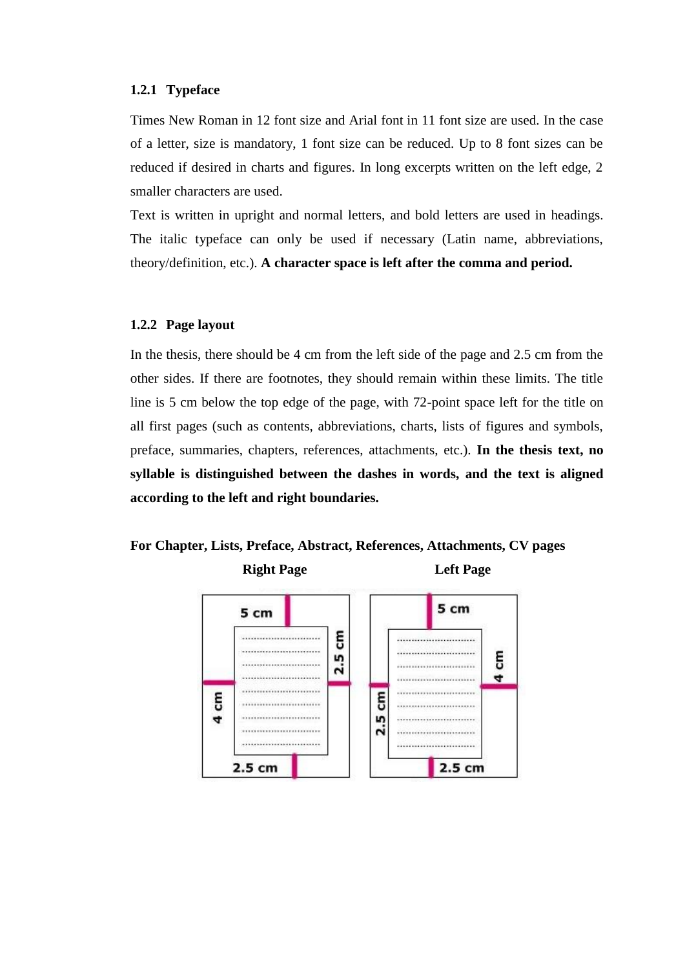#### **1.2.1 Typeface**

Times New Roman in 12 font size and Arial font in 11 font size are used. In the case of a letter, size is mandatory, 1 font size can be reduced. Up to 8 font sizes can be reduced if desired in charts and figures. In long excerpts written on the left edge, 2 smaller characters are used.

Text is written in upright and normal letters, and bold letters are used in headings. The italic typeface can only be used if necessary (Latin name, abbreviations, theory/definition, etc.). **A character space is left after the comma and period.**

### **1.2.2 Page layout**

In the thesis, there should be 4 cm from the left side of the page and 2.5 cm from the other sides. If there are footnotes, they should remain within these limits. The title line is 5 cm below the top edge of the page, with 72-point space left for the title on all first pages (such as contents, abbreviations, charts, lists of figures and symbols, preface, summaries, chapters, references, attachments, etc.). **In the thesis text, no syllable is distinguished between the dashes in words, and the text is aligned according to the left and right boundaries.**



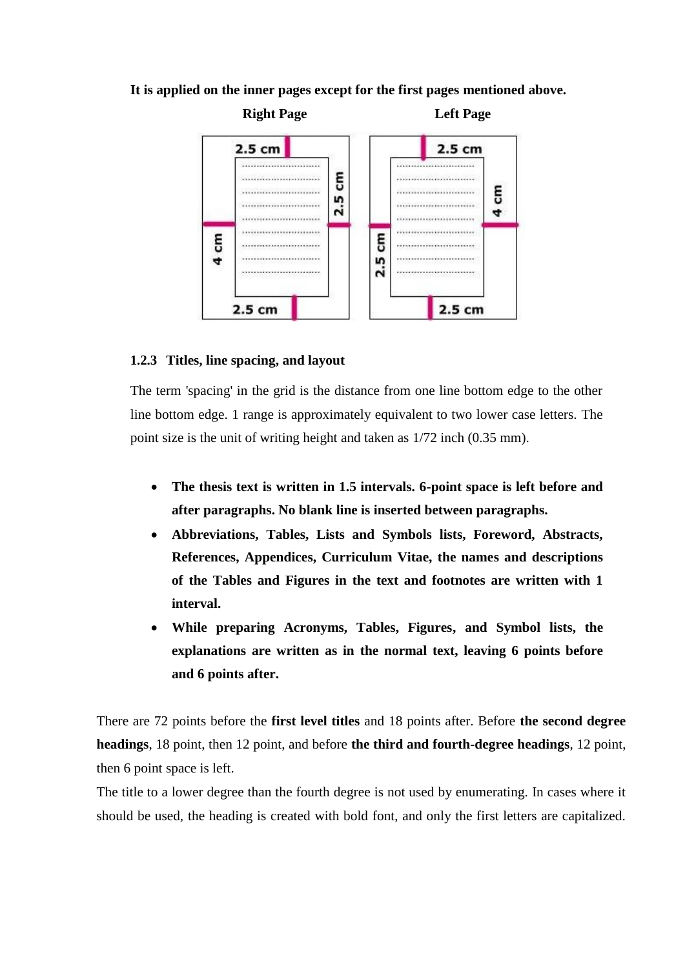## **It is applied on the inner pages except for the first pages mentioned above.**



#### **1.2.3 Titles, line spacing, and layout**

The term 'spacing' in the grid is the distance from one line bottom edge to the other line bottom edge. 1 range is approximately equivalent to two lower case letters. The point size is the unit of writing height and taken as 1/72 inch (0.35 mm).

- **The thesis text is written in 1.5 intervals. 6-point space is left before and after paragraphs. No blank line is inserted between paragraphs.**
- **Abbreviations, Tables, Lists and Symbols lists, Foreword, Abstracts, References, Appendices, Curriculum Vitae, the names and descriptions of the Tables and Figures in the text and footnotes are written with 1 interval.**
- **While preparing Acronyms, Tables, Figures, and Symbol lists, the explanations are written as in the normal text, leaving 6 points before and 6 points after.**

There are 72 points before the **first level titles** and 18 points after. Before **the second degree headings**, 18 point, then 12 point, and before **the third and fourth-degree headings**, 12 point, then 6 point space is left.

The title to a lower degree than the fourth degree is not used by enumerating. In cases where it should be used, the heading is created with bold font, and only the first letters are capitalized.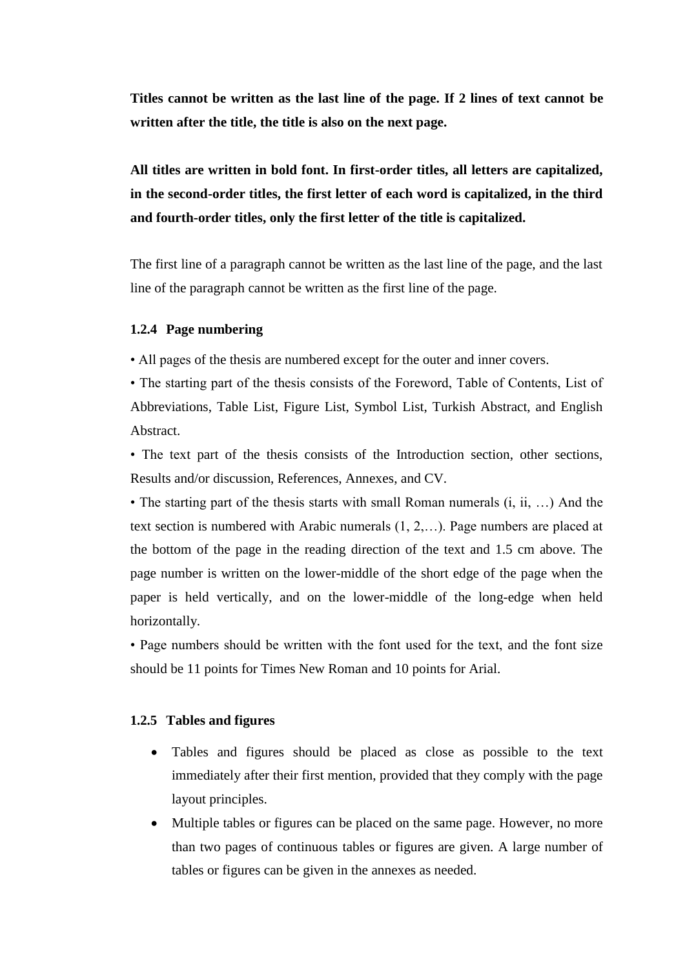**Titles cannot be written as the last line of the page. If 2 lines of text cannot be written after the title, the title is also on the next page.**

## **All titles are written in bold font. In first-order titles, all letters are capitalized, in the second-order titles, the first letter of each word is capitalized, in the third and fourth-order titles, only the first letter of the title is capitalized.**

The first line of a paragraph cannot be written as the last line of the page, and the last line of the paragraph cannot be written as the first line of the page.

#### **1.2.4 Page numbering**

• All pages of the thesis are numbered except for the outer and inner covers.

• The starting part of the thesis consists of the Foreword, Table of Contents, List of Abbreviations, Table List, Figure List, Symbol List, Turkish Abstract, and English Abstract.

• The text part of the thesis consists of the Introduction section, other sections, Results and/or discussion, References, Annexes, and CV.

• The starting part of the thesis starts with small Roman numerals (i, ii, …) And the text section is numbered with Arabic numerals (1, 2,…). Page numbers are placed at the bottom of the page in the reading direction of the text and 1.5 cm above. The page number is written on the lower-middle of the short edge of the page when the paper is held vertically, and on the lower-middle of the long-edge when held horizontally.

• Page numbers should be written with the font used for the text, and the font size should be 11 points for Times New Roman and 10 points for Arial.

#### **1.2.5 Tables and figures**

- Tables and figures should be placed as close as possible to the text immediately after their first mention, provided that they comply with the page layout principles.
- Multiple tables or figures can be placed on the same page. However, no more than two pages of continuous tables or figures are given. A large number of tables or figures can be given in the annexes as needed.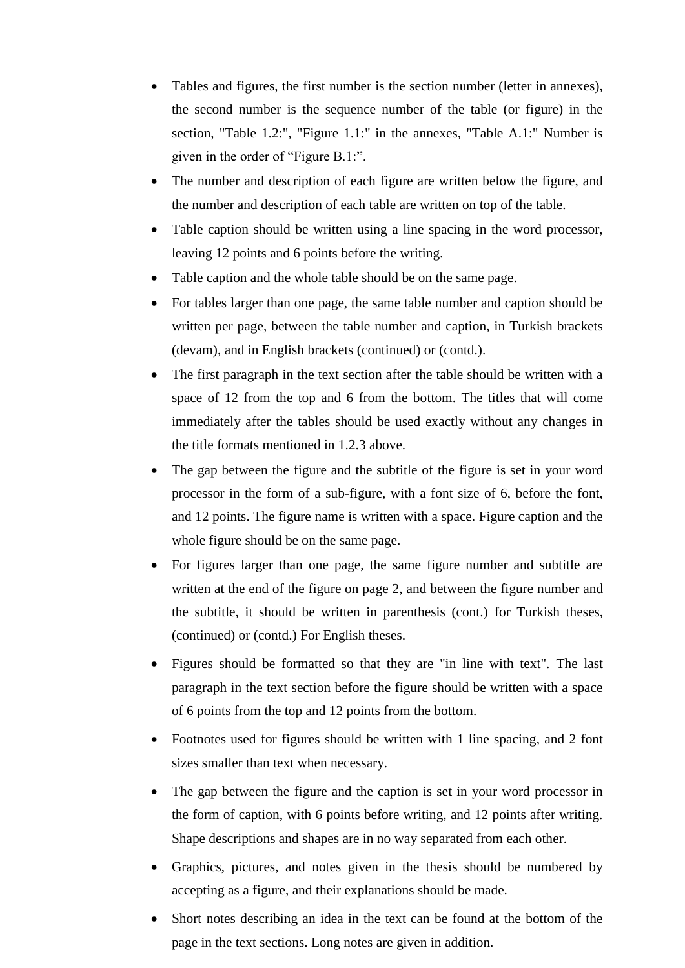- Tables and figures, the first number is the section number (letter in annexes), the second number is the sequence number of the table (or figure) in the section, "Table 1.2:", "Figure 1.1:" in the annexes, "Table A.1:" Number is given in the order of "Figure B.1:".
- The number and description of each figure are written below the figure, and the number and description of each table are written on top of the table.
- Table caption should be written using a line spacing in the word processor, leaving 12 points and 6 points before the writing.
- Table caption and the whole table should be on the same page.
- For tables larger than one page, the same table number and caption should be written per page, between the table number and caption, in Turkish brackets (devam), and in English brackets (continued) or (contd.).
- The first paragraph in the text section after the table should be written with a space of 12 from the top and 6 from the bottom. The titles that will come immediately after the tables should be used exactly without any changes in the title formats mentioned in 1.2.3 above.
- The gap between the figure and the subtitle of the figure is set in your word processor in the form of a sub-figure, with a font size of 6, before the font, and 12 points. The figure name is written with a space. Figure caption and the whole figure should be on the same page.
- For figures larger than one page, the same figure number and subtitle are written at the end of the figure on page 2, and between the figure number and the subtitle, it should be written in parenthesis (cont.) for Turkish theses, (continued) or (contd.) For English theses.
- Figures should be formatted so that they are "in line with text". The last paragraph in the text section before the figure should be written with a space of 6 points from the top and 12 points from the bottom.
- Footnotes used for figures should be written with 1 line spacing, and 2 font sizes smaller than text when necessary.
- The gap between the figure and the caption is set in your word processor in the form of caption, with 6 points before writing, and 12 points after writing. Shape descriptions and shapes are in no way separated from each other.
- Graphics, pictures, and notes given in the thesis should be numbered by accepting as a figure, and their explanations should be made.
- Short notes describing an idea in the text can be found at the bottom of the page in the text sections. Long notes are given in addition.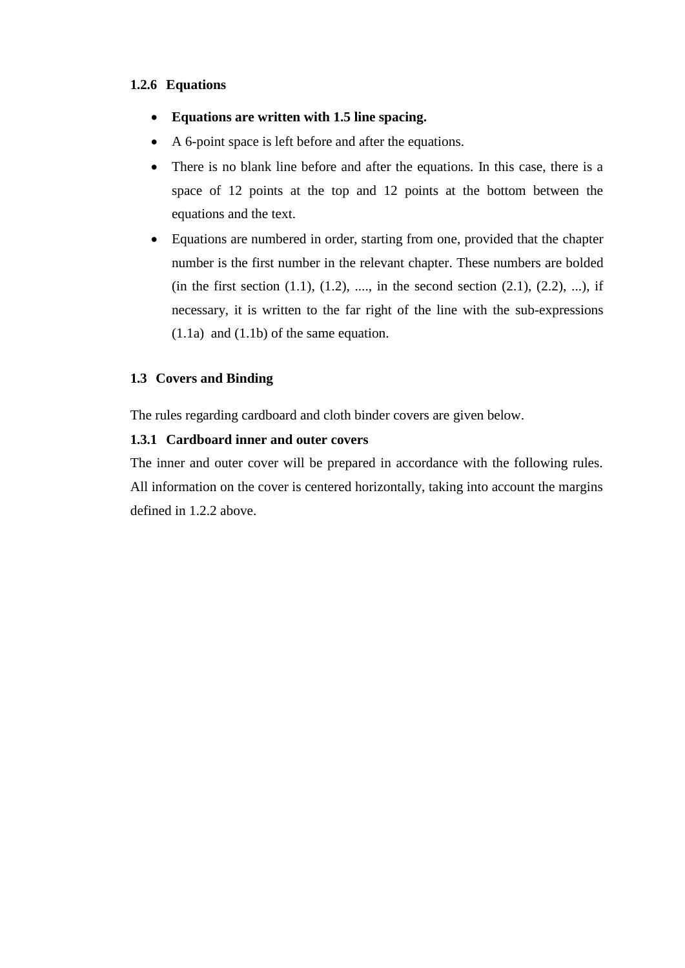## **1.2.6 Equations**

- **Equations are written with 1.5 line spacing.**
- A 6-point space is left before and after the equations.
- There is no blank line before and after the equations. In this case, there is a space of 12 points at the top and 12 points at the bottom between the equations and the text.
- Equations are numbered in order, starting from one, provided that the chapter number is the first number in the relevant chapter. These numbers are bolded (in the first section  $(1.1)$ ,  $(1.2)$ , ..., in the second section  $(2.1)$ ,  $(2.2)$ , ...), if necessary, it is written to the far right of the line with the sub-expressions (1.1a) and (1.1b) of the same equation.

## **1.3 Covers and Binding**

The rules regarding cardboard and cloth binder covers are given below.

## **1.3.1 Cardboard inner and outer covers**

The inner and outer cover will be prepared in accordance with the following rules. All information on the cover is centered horizontally, taking into account the margins defined in 1.2.2 above.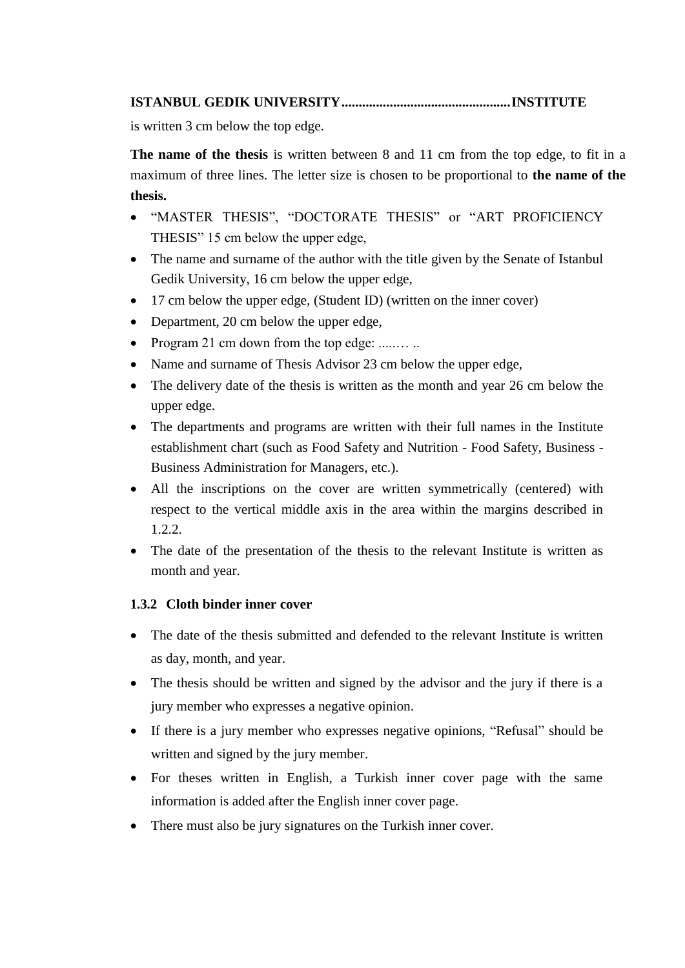## **ISTANBUL GEDIK UNIVERSITY.................................................INSTITUTE**

is written 3 cm below the top edge.

**The name of the thesis** is written between 8 and 11 cm from the top edge, to fit in a maximum of three lines. The letter size is chosen to be proportional to **the name of the thesis.**

- "MASTER THESIS", "DOCTORATE THESIS" or "ART PROFICIENCY THESIS" 15 cm below the upper edge,
- The name and surname of the author with the title given by the Senate of Istanbul Gedik University, 16 cm below the upper edge,
- 17 cm below the upper edge, (Student ID) (written on the inner cover)
- Department, 20 cm below the upper edge,
- Program 21 cm down from the top edge: .........
- Name and surname of Thesis Advisor 23 cm below the upper edge,
- The delivery date of the thesis is written as the month and year 26 cm below the upper edge.
- The departments and programs are written with their full names in the Institute establishment chart (such as Food Safety and Nutrition - Food Safety, Business - Business Administration for Managers, etc.).
- All the inscriptions on the cover are written symmetrically (centered) with respect to the vertical middle axis in the area within the margins described in 1.2.2.
- The date of the presentation of the thesis to the relevant Institute is written as month and year.

## **1.3.2 Cloth binder inner cover**

- The date of the thesis submitted and defended to the relevant Institute is written as day, month, and year.
- The thesis should be written and signed by the advisor and the jury if there is a jury member who expresses a negative opinion.
- If there is a jury member who expresses negative opinions, "Refusal" should be written and signed by the jury member.
- For theses written in English, a Turkish inner cover page with the same information is added after the English inner cover page.
- There must also be jury signatures on the Turkish inner cover.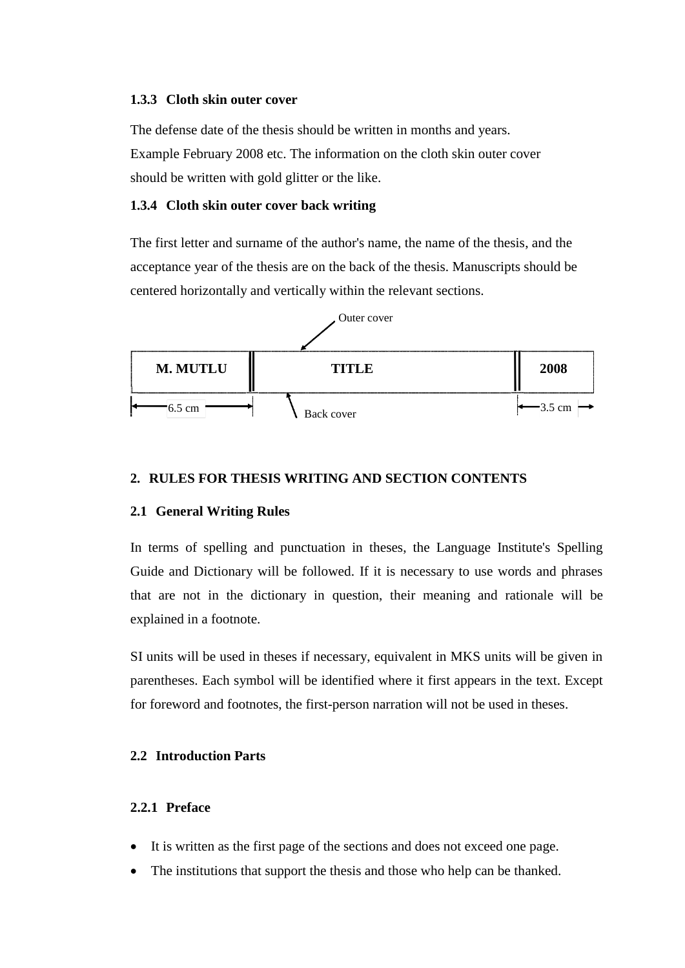### **1.3.3 Cloth skin outer cover**

The defense date of the thesis should be written in months and years. Example February 2008 etc. The information on the cloth skin outer cover should be written with gold glitter or the like.

#### **1.3.4 Cloth skin outer cover back writing**

The first letter and surname of the author's name, the name of the thesis, and the acceptance year of the thesis are on the back of the thesis. Manuscripts should be centered horizontally and vertically within the relevant sections.



### **2. RULES FOR THESIS WRITING AND SECTION CONTENTS**

#### **2.1 General Writing Rules**

In terms of spelling and punctuation in theses, the Language Institute's Spelling Guide and Dictionary will be followed. If it is necessary to use words and phrases that are not in the dictionary in question, their meaning and rationale will be explained in a footnote.

SI units will be used in theses if necessary, equivalent in MKS units will be given in parentheses. Each symbol will be identified where it first appears in the text. Except for foreword and footnotes, the first-person narration will not be used in theses.

#### **2.2 Introduction Parts**

#### **2.2.1 Preface**

- It is written as the first page of the sections and does not exceed one page.
- The institutions that support the thesis and those who help can be thanked.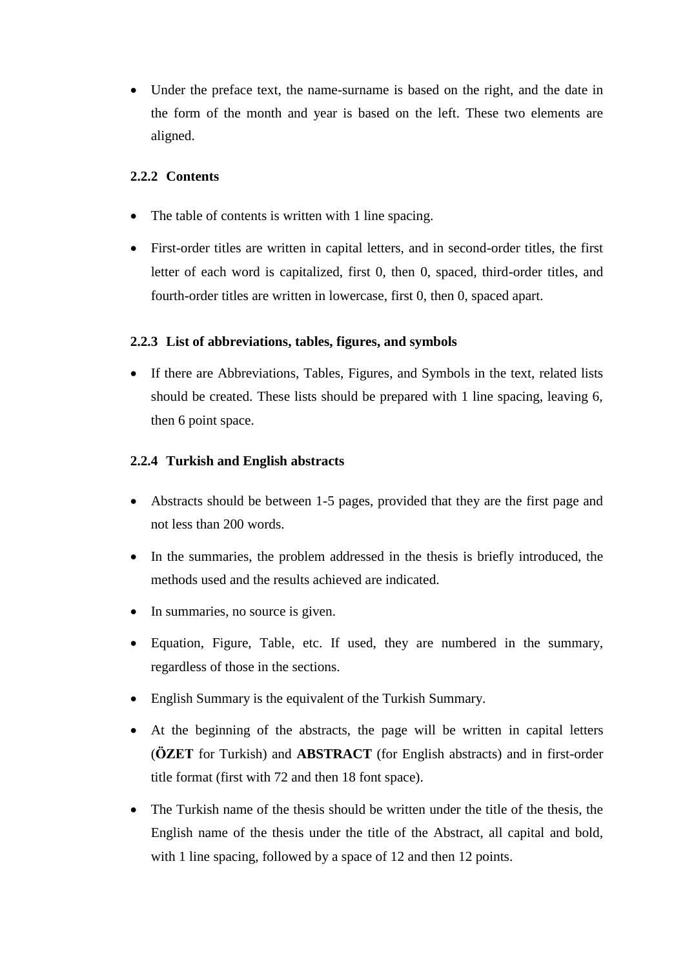Under the preface text, the name-surname is based on the right, and the date in the form of the month and year is based on the left. These two elements are aligned.

## **2.2.2 Contents**

- The table of contents is written with 1 line spacing.
- First-order titles are written in capital letters, and in second-order titles, the first letter of each word is capitalized, first 0, then 0, spaced, third-order titles, and fourth-order titles are written in lowercase, first 0, then 0, spaced apart.

## **2.2.3 List of abbreviations, tables, figures, and symbols**

• If there are Abbreviations, Tables, Figures, and Symbols in the text, related lists should be created. These lists should be prepared with 1 line spacing, leaving 6, then 6 point space.

## **2.2.4 Turkish and English abstracts**

- Abstracts should be between 1-5 pages, provided that they are the first page and not less than 200 words.
- In the summaries, the problem addressed in the thesis is briefly introduced, the methods used and the results achieved are indicated.
- In summaries, no source is given.
- Equation, Figure, Table, etc. If used, they are numbered in the summary, regardless of those in the sections.
- English Summary is the equivalent of the Turkish Summary.
- At the beginning of the abstracts, the page will be written in capital letters (**ÖZET** for Turkish) and **ABSTRACT** (for English abstracts) and in first-order title format (first with 72 and then 18 font space).
- The Turkish name of the thesis should be written under the title of the thesis, the English name of the thesis under the title of the Abstract, all capital and bold, with 1 line spacing, followed by a space of 12 and then 12 points.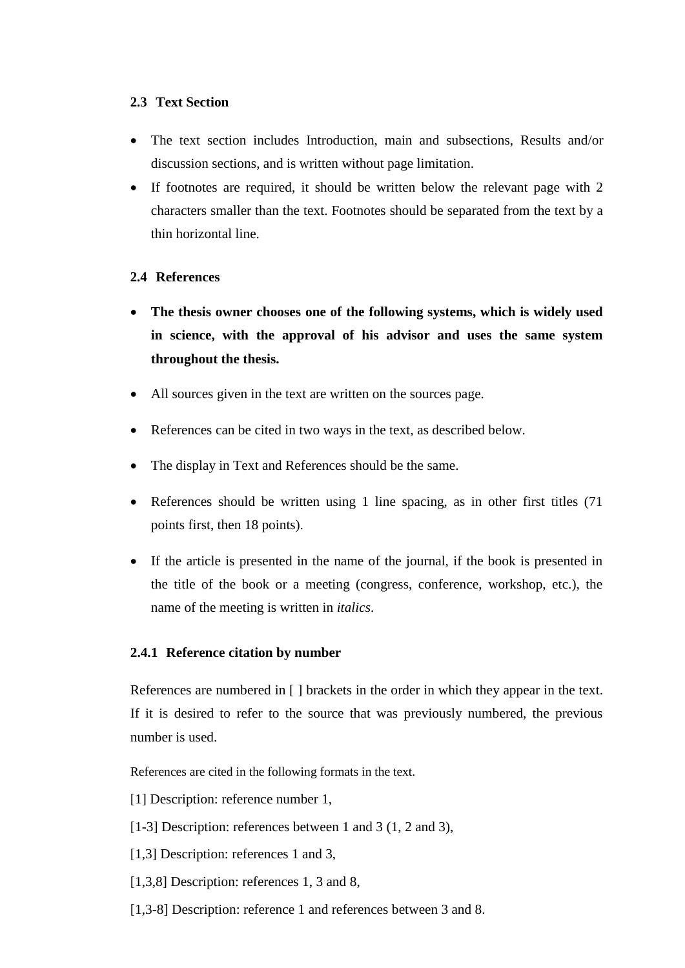## **2.3 Text Section**

- The text section includes Introduction, main and subsections, Results and/or discussion sections, and is written without page limitation.
- If footnotes are required, it should be written below the relevant page with 2 characters smaller than the text. Footnotes should be separated from the text by a thin horizontal line.

## **2.4 References**

- **The thesis owner chooses one of the following systems, which is widely used in science, with the approval of his advisor and uses the same system throughout the thesis.**
- All sources given in the text are written on the sources page.
- References can be cited in two ways in the text, as described below.
- The display in Text and References should be the same.
- References should be written using 1 line spacing, as in other first titles (71) points first, then 18 points).
- If the article is presented in the name of the journal, if the book is presented in the title of the book or a meeting (congress, conference, workshop, etc.), the name of the meeting is written in *italics*.

## **2.4.1 Reference citation by number**

References are numbered in [] brackets in the order in which they appear in the text. If it is desired to refer to the source that was previously numbered, the previous number is used.

References are cited in the following formats in the text.

- [1] Description: reference number 1,
- [1-3] Description: references between 1 and 3 (1, 2 and 3),
- [1,3] Description: references 1 and 3,
- [1,3,8] Description: references 1, 3 and 8,
- [1,3-8] Description: reference 1 and references between 3 and 8.